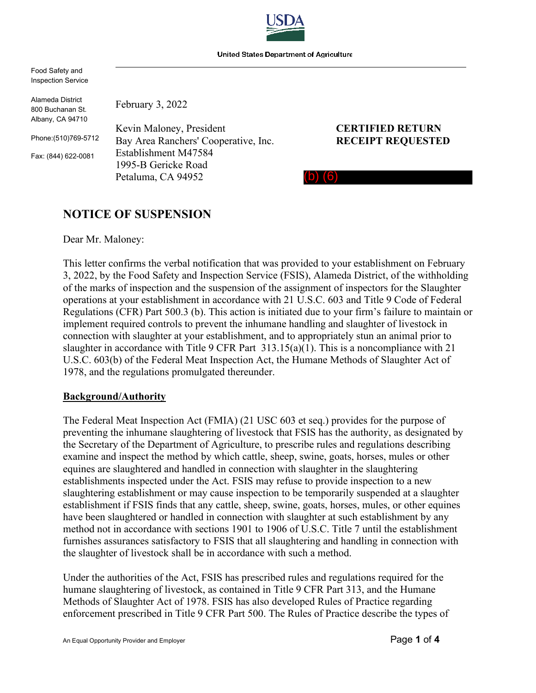

Food Safety and Inspection Service

Alameda District 800 Buchanan St. Albany, CA 94710

Phone:(510)769-5712

Fax: (844) 622-0081

February 3, 2022 Kevin Maloney, President **CERTIFIED RETURN**  Bay Area Ranchers' Cooperative, Inc. **RECEIPT REQUESTED**  Establishment M47584

1995-B Gericke Road Petaluma, CA 94952

(b) (6)

## **NOTICE OF SUSPENSION**

Dear Mr. Maloney:

This letter confirms the verbal notification that was provided to your establishment on February 3, 2022, by the Food Safety and Inspection Service (FSIS), Alameda District, of the withholding of the marks of inspection and the suspension of the assignment of inspectors for the Slaughter operations at your establishment in accordance with 21 U.S.C. 603 and Title 9 Code of Federal Regulations (CFR) Part 500.3 (b). This action is initiated due to your firm's failure to maintain or implement required controls to prevent the inhumane handling and slaughter of livestock in connection with slaughter at your establishment, and to appropriately stun an animal prior to slaughter in accordance with Title 9 CFR Part  $313.15(a)(1)$ . This is a noncompliance with 21 U.S.C. 603(b) of the Federal Meat Inspection Act, the Humane Methods of Slaughter Act of 1978, and the regulations promulgated thereunder.

## **Background/Authority**

The Federal Meat Inspection Act (FMIA) (21 USC 603 et seq.) provides for the purpose of preventing the inhumane slaughtering of livestock that FSIS has the authority, as designated by the Secretary of the Department of Agriculture, to prescribe rules and regulations describing examine and inspect the method by which cattle, sheep, swine, goats, horses, mules or other equines are slaughtered and handled in connection with slaughter in the slaughtering establishments inspected under the Act. FSIS may refuse to provide inspection to a new slaughtering establishment or may cause inspection to be temporarily suspended at a slaughter establishment if FSIS finds that any cattle, sheep, swine, goats, horses, mules, or other equines have been slaughtered or handled in connection with slaughter at such establishment by any method not in accordance with sections 1901 to 1906 of U.S.C. Title 7 until the establishment furnishes assurances satisfactory to FSIS that all slaughtering and handling in connection with the slaughter of livestock shall be in accordance with such a method.

Under the authorities of the Act, FSIS has prescribed rules and regulations required for the humane slaughtering of livestock, as contained in Title 9 CFR Part 313, and the Humane Methods of Slaughter Act of 1978. FSIS has also developed Rules of Practice regarding enforcement prescribed in Title 9 CFR Part 500. The Rules of Practice describe the types of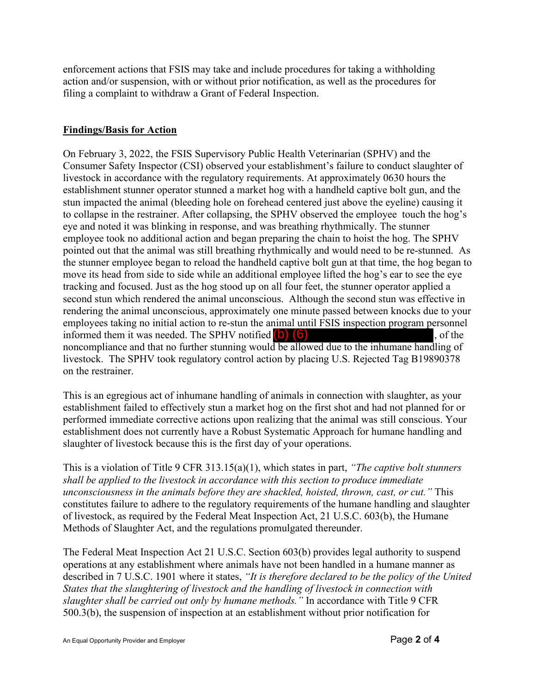enforcement actions that FSIS may take and include procedures for taking a withholding action and/or suspension, with or without prior notification, as well as the procedures for filing a complaint to withdraw a Grant of Federal Inspection.

## **Findings/Basis for Action**

employees taking no initial action to re-stun the animal until FSIS inspection program personnel informed them it was needed. The SPHV notified  $(b)$   $(6)$ noncompliance and that no further stunning would be allowed due to the inhumane handling of On February 3, 2022, the FSIS Supervisory Public Health Veterinarian (SPHV) and the Consumer Safety Inspector (CSI) observed your establishment's failure to conduct slaughter of livestock in accordance with the regulatory requirements. At approximately 0630 hours the establishment stunner operator stunned a market hog with a handheld captive bolt gun, and the stun impacted the animal (bleeding hole on forehead centered just above the eyeline) causing it to collapse in the restrainer. After collapsing, the SPHV observed the employee touch the hog's eye and noted it was blinking in response, and was breathing rhythmically. The stunner employee took no additional action and began preparing the chain to hoist the hog. The SPHV pointed out that the animal was still breathing rhythmically and would need to be re-stunned. As the stunner employee began to reload the handheld captive bolt gun at that time, the hog began to move its head from side to side while an additional employee lifted the hog's ear to see the eye tracking and focused. Just as the hog stood up on all four feet, the stunner operator applied a second stun which rendered the animal unconscious. Although the second stun was effective in rendering the animal unconscious, approximately one minute passed between knocks due to your livestock. The SPHV took regulatory control action by placing U.S. Rejected Tag B19890378 on the restrainer.

This is an egregious act of inhumane handling of animals in connection with slaughter, as your establishment failed to effectively stun a market hog on the first shot and had not planned for or performed immediate corrective actions upon realizing that the animal was still conscious. Your establishment does not currently have a Robust Systematic Approach for humane handling and slaughter of livestock because this is the first day of your operations.

This is a violation of Title 9 CFR 313.15(a)(1), which states in part, *"The captive bolt stunners shall be applied to the livestock in accordance with this section to produce immediate unconsciousness in the animals before they are shackled, hoisted, thrown, cast, or cut."* This constitutes failure to adhere to the regulatory requirements of the humane handling and slaughter of livestock, as required by the Federal Meat Inspection Act, 21 U.S.C. 603(b), the Humane Methods of Slaughter Act, and the regulations promulgated thereunder.

The Federal Meat Inspection Act 21 U.S.C. Section 603(b) provides legal authority to suspend operations at any establishment where animals have not been handled in a humane manner as described in 7 U.S.C. 1901 where it states, *"It is therefore declared to be the policy of the United States that the slaughtering of livestock and the handling of livestock in connection with slaughter shall be carried out only by humane methods."* In accordance with Title 9 CFR 500.3(b), the suspension of inspection at an establishment without prior notification for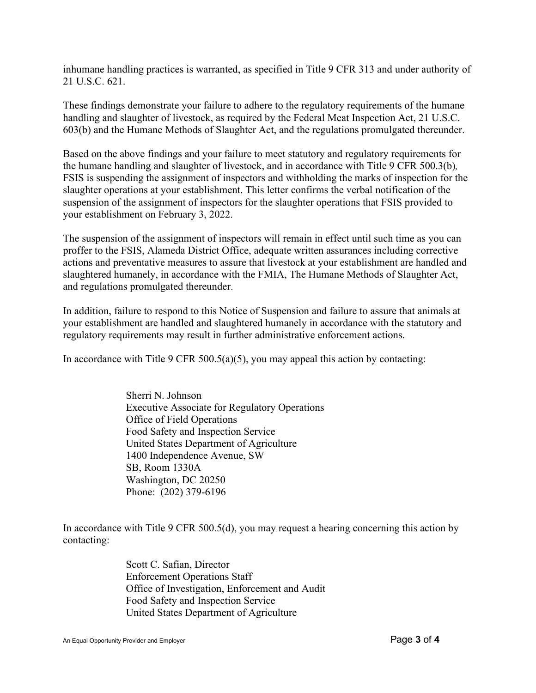inhumane handling practices is warranted, as specified in Title 9 CFR 313 and under authority of 21 U.S.C. 621.

These findings demonstrate your failure to adhere to the regulatory requirements of the humane handling and slaughter of livestock, as required by the Federal Meat Inspection Act, 21 U.S.C. 603(b) and the Humane Methods of Slaughter Act, and the regulations promulgated thereunder.

Based on the above findings and your failure to meet statutory and regulatory requirements for the humane handling and slaughter of livestock, and in accordance with Title 9 CFR 500.3(b)*,*  FSIS is suspending the assignment of inspectors and withholding the marks of inspection for the slaughter operations at your establishment. This letter confirms the verbal notification of the suspension of the assignment of inspectors for the slaughter operations that FSIS provided to your establishment on February 3, 2022.

The suspension of the assignment of inspectors will remain in effect until such time as you can proffer to the FSIS, Alameda District Office, adequate written assurances including corrective actions and preventative measures to assure that livestock at your establishment are handled and slaughtered humanely, in accordance with the FMIA, The Humane Methods of Slaughter Act, and regulations promulgated thereunder.

In addition, failure to respond to this Notice of Suspension and failure to assure that animals at your establishment are handled and slaughtered humanely in accordance with the statutory and regulatory requirements may result in further administrative enforcement actions.

In accordance with Title 9 CFR 500.5(a)(5), you may appeal this action by contacting:

Sherri N. Johnson Executive Associate for Regulatory Operations Office of Field Operations Food Safety and Inspection Service United States Department of Agriculture 1400 Independence Avenue, SW SB, Room 1330A Washington, DC 20250 Phone: (202) 379-6196

In accordance with Title 9 CFR 500.5(d), you may request a hearing concerning this action by contacting:

> Scott C. Safian, Director Enforcement Operations Staff Office of Investigation, Enforcement and Audit Food Safety and Inspection Service United States Department of Agriculture